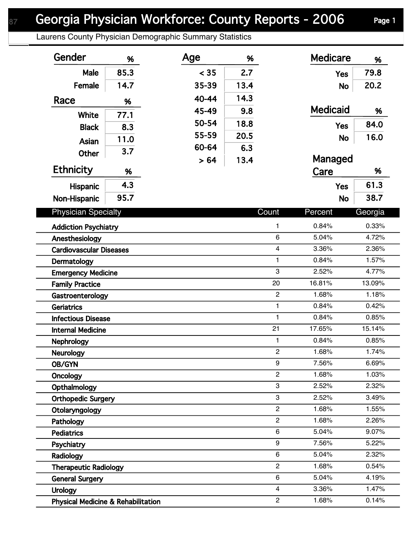## Georgia Physician Workforce: County Reports - 2006 Page 1

Laurens County Physician Demographic Summary Statistics

| Gender                                        | %    | Age   | %    |                         | <b>Medicare</b> | %       |
|-----------------------------------------------|------|-------|------|-------------------------|-----------------|---------|
| Male                                          | 85.3 | < 35  | 2.7  |                         | <b>Yes</b>      | 79.8    |
| Female                                        | 14.7 | 35-39 | 13.4 |                         | <b>No</b>       | 20.2    |
| Race                                          | %    | 40-44 | 14.3 |                         |                 |         |
|                                               |      | 45-49 | 9.8  |                         | <b>Medicaid</b> | %       |
| <b>White</b>                                  | 77.1 | 50-54 | 18.8 |                         | <b>Yes</b>      | 84.0    |
| <b>Black</b>                                  | 8.3  | 55-59 | 20.5 |                         |                 | 16.0    |
| Asian                                         | 11.0 | 60-64 | 6.3  |                         | <b>No</b>       |         |
| <b>Other</b>                                  | 3.7  | > 64  | 13.4 |                         | Managed         |         |
| <b>Ethnicity</b>                              | %    |       |      |                         | Care            | %       |
| Hispanic                                      | 4.3  |       |      |                         | <b>Yes</b>      | 61.3    |
| Non-Hispanic                                  | 95.7 |       |      |                         | <b>No</b>       | 38.7    |
| <b>Physician Specialty</b>                    |      |       |      | Count                   | Percent         | Georgia |
| <b>Addiction Psychiatry</b>                   |      |       |      | 1                       | 0.84%           | 0.33%   |
| Anesthesiology                                |      |       |      | 6                       | 5.04%           | 4.72%   |
| <b>Cardiovascular Diseases</b>                |      |       |      | $\overline{4}$          | 3.36%           | 2.36%   |
| Dermatology                                   |      |       |      | 1                       | 0.84%           | 1.57%   |
| <b>Emergency Medicine</b>                     |      |       |      | 3                       | 2.52%           | 4.77%   |
| <b>Family Practice</b>                        |      |       |      | 20                      | 16.81%          | 13.09%  |
| Gastroenterology                              |      |       |      | $\overline{c}$          | 1.68%           | 1.18%   |
| <b>Geriatrics</b>                             |      |       |      | $\mathbf{1}$            | 0.84%           | 0.42%   |
| <b>Infectious Disease</b>                     |      |       |      | $\mathbf{1}$            | 0.84%           | 0.85%   |
| <b>Internal Medicine</b>                      |      |       |      | 21                      | 17.65%          | 15.14%  |
| Nephrology                                    |      |       |      | 1                       | 0.84%           | 0.85%   |
| <b>Neurology</b>                              |      |       |      | $\overline{2}$          | 1.68%           | 1.74%   |
| OB/GYN                                        |      |       |      | 9                       | 7.56%           | 6.69%   |
| Oncology                                      |      |       |      | $\overline{c}$          | 1.68%           | 1.03%   |
| Opthalmology                                  |      |       |      | 3                       | 2.52%           | 2.32%   |
| <b>Orthopedic Surgery</b>                     |      |       |      | 3                       | 2.52%           | 3.49%   |
| Otolaryngology                                |      |       |      | $\overline{c}$          | 1.68%           | 1.55%   |
| Pathology                                     |      |       |      | $\overline{c}$          | 1.68%           | 2.26%   |
| <b>Pediatrics</b>                             |      |       |      | 6                       | 5.04%           | 9.07%   |
| Psychiatry                                    |      |       |      | 9                       | 7.56%           | 5.22%   |
| Radiology                                     |      |       |      | 6                       | 5.04%           | 2.32%   |
| <b>Therapeutic Radiology</b>                  |      |       |      | $\overline{2}$          | 1.68%           | 0.54%   |
| <b>General Surgery</b>                        |      |       |      | 6                       | 5.04%           | 4.19%   |
| <b>Urology</b>                                |      |       |      | $\overline{\mathbf{4}}$ | 3.36%           | 1.47%   |
| <b>Physical Medicine &amp; Rehabilitation</b> |      |       |      | $\overline{c}$          | 1.68%           | 0.14%   |